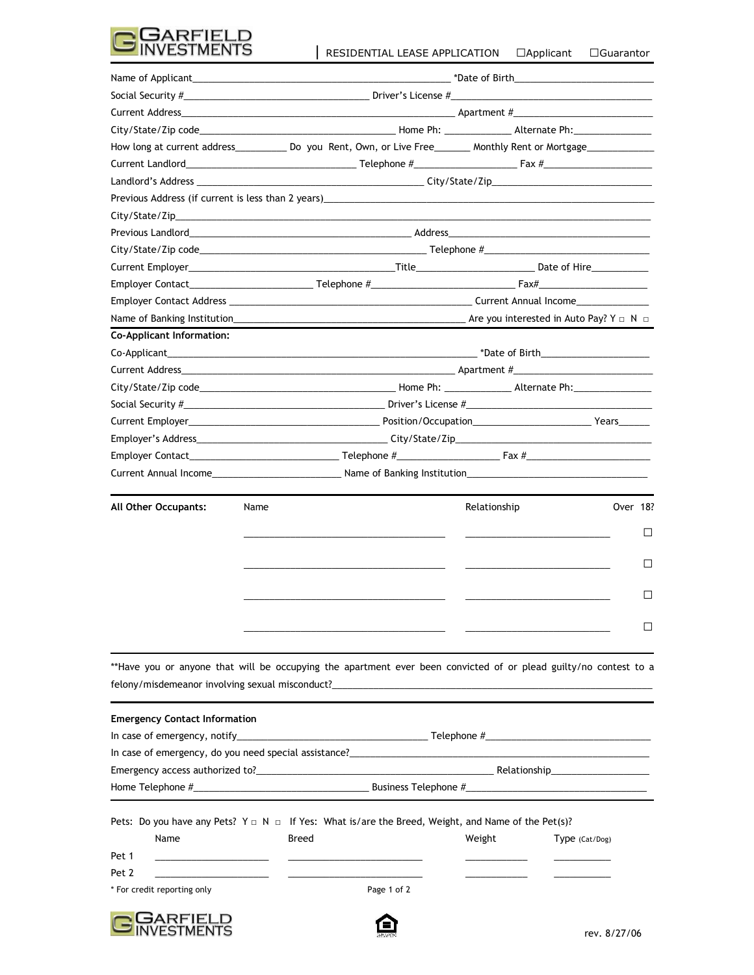

|                                                       |                                                                                                                                       | How long at current address______________ Do you Rent, Own, or Live Free_________ Monthly Rent or Mortgage___________________ |  |  |  |  |
|-------------------------------------------------------|---------------------------------------------------------------------------------------------------------------------------------------|-------------------------------------------------------------------------------------------------------------------------------|--|--|--|--|
|                                                       |                                                                                                                                       |                                                                                                                               |  |  |  |  |
|                                                       |                                                                                                                                       |                                                                                                                               |  |  |  |  |
|                                                       |                                                                                                                                       |                                                                                                                               |  |  |  |  |
|                                                       |                                                                                                                                       |                                                                                                                               |  |  |  |  |
|                                                       |                                                                                                                                       |                                                                                                                               |  |  |  |  |
|                                                       |                                                                                                                                       |                                                                                                                               |  |  |  |  |
|                                                       |                                                                                                                                       |                                                                                                                               |  |  |  |  |
|                                                       |                                                                                                                                       |                                                                                                                               |  |  |  |  |
|                                                       |                                                                                                                                       |                                                                                                                               |  |  |  |  |
|                                                       |                                                                                                                                       |                                                                                                                               |  |  |  |  |
| <b>Co-Applicant Information:</b>                      |                                                                                                                                       |                                                                                                                               |  |  |  |  |
|                                                       |                                                                                                                                       |                                                                                                                               |  |  |  |  |
|                                                       |                                                                                                                                       | Current Address <b>Example 2018</b> 2019 12:30 Apartment #                                                                    |  |  |  |  |
|                                                       |                                                                                                                                       |                                                                                                                               |  |  |  |  |
|                                                       |                                                                                                                                       |                                                                                                                               |  |  |  |  |
|                                                       |                                                                                                                                       |                                                                                                                               |  |  |  |  |
|                                                       |                                                                                                                                       |                                                                                                                               |  |  |  |  |
|                                                       |                                                                                                                                       |                                                                                                                               |  |  |  |  |
|                                                       |                                                                                                                                       |                                                                                                                               |  |  |  |  |
| All Other Occupants:                                  | Name                                                                                                                                  | Relationship<br>Over 18?                                                                                                      |  |  |  |  |
|                                                       |                                                                                                                                       | $\Box$                                                                                                                        |  |  |  |  |
|                                                       |                                                                                                                                       |                                                                                                                               |  |  |  |  |
|                                                       |                                                                                                                                       | $\Box$                                                                                                                        |  |  |  |  |
|                                                       |                                                                                                                                       |                                                                                                                               |  |  |  |  |
|                                                       |                                                                                                                                       | ш                                                                                                                             |  |  |  |  |
|                                                       |                                                                                                                                       | $\Box$                                                                                                                        |  |  |  |  |
|                                                       |                                                                                                                                       |                                                                                                                               |  |  |  |  |
|                                                       |                                                                                                                                       | **Have you or anyone that will be occupying the apartment ever been convicted of or plead guilty/no contest to a              |  |  |  |  |
| <b>Emergency Contact Information</b>                  |                                                                                                                                       |                                                                                                                               |  |  |  |  |
|                                                       |                                                                                                                                       |                                                                                                                               |  |  |  |  |
|                                                       |                                                                                                                                       |                                                                                                                               |  |  |  |  |
|                                                       |                                                                                                                                       |                                                                                                                               |  |  |  |  |
|                                                       |                                                                                                                                       |                                                                                                                               |  |  |  |  |
| Name                                                  | Pets: Do you have any Pets? $Y \square Y \square Y \square Y$ if Yes: What is/are the Breed, Weight, and Name of the Pet(s)?<br>Breed | Weight<br>Type (Cat/Dog)                                                                                                      |  |  |  |  |
| Pet 1<br>the control of the control of the control of |                                                                                                                                       |                                                                                                                               |  |  |  |  |
| Pet 2<br>the control of the control of the control of |                                                                                                                                       |                                                                                                                               |  |  |  |  |